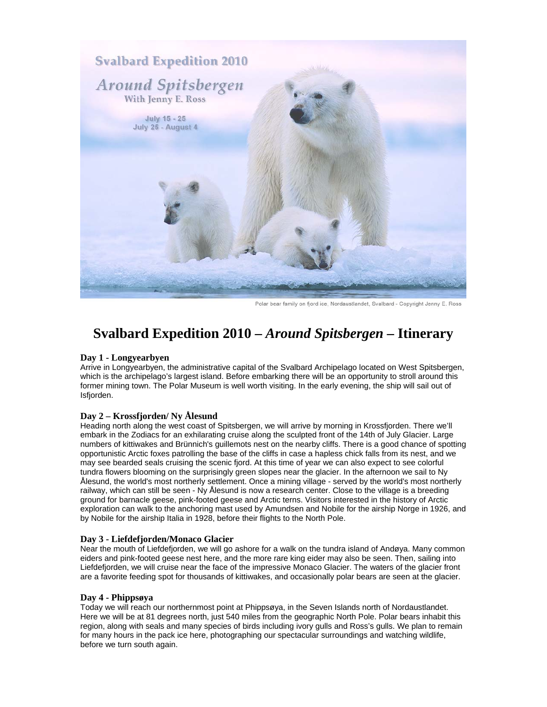

Polar bear family on fjord ice, Nordaustlandet, Svalbard - Copyright Jenny E. Ross

# **Svalbard Expedition 2010 –** *Around Spitsbergen* **– Itinerary**

### **Day 1 - Longyearbyen**

Arrive in Longyearbyen, the administrative capital of the Svalbard Archipelago located on West Spitsbergen, which is the archipelago's largest island. Before embarking there will be an opportunity to stroll around this former mining town. The Polar Museum is well worth visiting. In the early evening, the ship will sail out of Isfjorden.

### **Day 2 – Krossfjorden/ Ny Ålesund**

Heading north along the west coast of Spitsbergen, we will arrive by morning in Krossfjorden. There we'll embark in the Zodiacs for an exhilarating cruise along the sculpted front of the 14th of July Glacier. Large numbers of kittiwakes and Brünnich's guillemots nest on the nearby cliffs. There is a good chance of spotting opportunistic Arctic foxes patrolling the base of the cliffs in case a hapless chick falls from its nest, and we may see bearded seals cruising the scenic fjord. At this time of year we can also expect to see colorful tundra flowers blooming on the surprisingly green slopes near the glacier. In the afternoon we sail to Ny Ålesund, the world's most northerly settlement. Once a mining village - served by the world's most northerly railway, which can still be seen - Ny Ålesund is now a research center. Close to the village is a breeding ground for barnacle geese, pink-footed geese and Arctic terns. Visitors interested in the history of Arctic exploration can walk to the anchoring mast used by Amundsen and Nobile for the airship Norge in 1926, and by Nobile for the airship Italia in 1928, before their flights to the North Pole.

### **Day 3 - Liefdefjorden/Monaco Glacier**

Near the mouth of Liefdefjorden, we will go ashore for a walk on the tundra island of Andøya. Many common eiders and pink-footed geese nest here, and the more rare king eider may also be seen. Then, sailing into Liefdefjorden, we will cruise near the face of the impressive Monaco Glacier. The waters of the glacier front are a favorite feeding spot for thousands of kittiwakes, and occasionally polar bears are seen at the glacier.

### **Day 4 - Phippsøya**

Today we will reach our northernmost point at Phippsøya, in the Seven Islands north of Nordaustlandet. Here we will be at 81 degrees north, just 540 miles from the geographic North Pole. Polar bears inhabit this region, along with seals and many species of birds including ivory gulls and Ross's gulls. We plan to remain for many hours in the pack ice here, photographing our spectacular surroundings and watching wildlife, before we turn south again.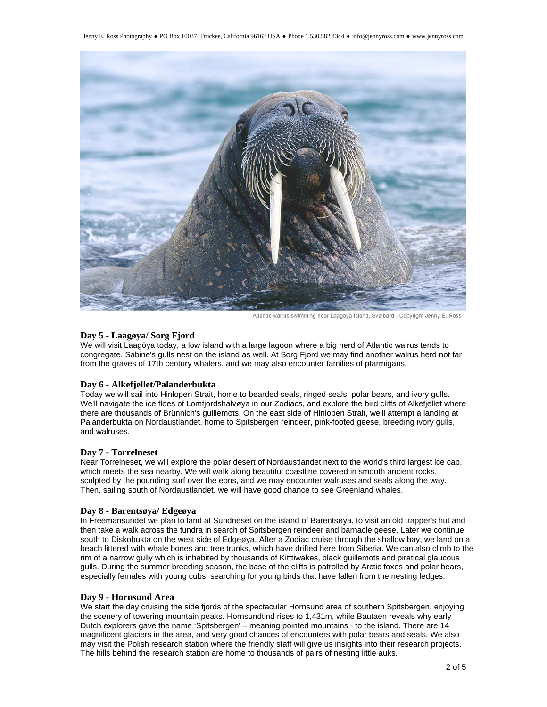

Atlantic walrus swimming near Laagöya Island, Svalbard - Copyright Jenny E. Ross

### **Day 5 - Laagøya/ Sorg Fjord**

We will visit Laagöya today, a low island with a large lagoon where a big herd of Atlantic walrus tends to congregate. Sabine's gulls nest on the island as well. At Sorg Fjord we may find another walrus herd not far from the graves of 17th century whalers, and we may also encounter families of ptarmigans.

#### **Day 6 - Alkefjellet/Palanderbukta**

Today we will sail into Hinlopen Strait, home to bearded seals, ringed seals, polar bears, and ivory gulls. We'll navigate the ice floes of Lomfjordshalvøya in our Zodiacs, and explore the bird cliffs of Alkefjellet where there are thousands of Brünnich's guillemots. On the east side of Hinlopen Strait, we'll attempt a landing at Palanderbukta on Nordaustlandet, home to Spitsbergen reindeer, pink-footed geese, breeding ivory gulls, and walruses.

### **Day 7 - Torrelneset**

Near Torrelneset, we will explore the polar desert of Nordaustlandet next to the world's third largest ice cap, which meets the sea nearby. We will walk along beautiful coastline covered in smooth ancient rocks, sculpted by the pounding surf over the eons, and we may encounter walruses and seals along the way. Then, sailing south of Nordaustlandet, we will have good chance to see Greenland whales.

### **Day 8 - Barentsøya/ Edgeøya**

In Freemansundet we plan to land at Sundneset on the island of Barentsøya, to visit an old trapper's hut and then take a walk across the tundra in search of Spitsbergen reindeer and barnacle geese. Later we continue south to Diskobukta on the west side of Edgeøya. After a Zodiac cruise through the shallow bay, we land on a beach littered with whale bones and tree trunks, which have drifted here from Siberia. We can also climb to the rim of a narrow gully which is inhabited by thousands of Kitttiwakes, black guillemots and piratical glaucous gulls. During the summer breeding season, the base of the cliffs is patrolled by Arctic foxes and polar bears, especially females with young cubs, searching for young birds that have fallen from the nesting ledges.

### **Day 9 - Hornsund Area**

We start the day cruising the side fjords of the spectacular Hornsund area of southern Spitsbergen, enjoying the scenery of towering mountain peaks. Hornsundtind rises to 1,431m, while Bautaen reveals why early Dutch explorers gave the name 'Spitsbergen' – meaning pointed mountains - to the island. There are 14 magnificent glaciers in the area, and very good chances of encounters with polar bears and seals. We also may visit the Polish research station where the friendly staff will give us insights into their research projects. The hills behind the research station are home to thousands of pairs of nesting little auks.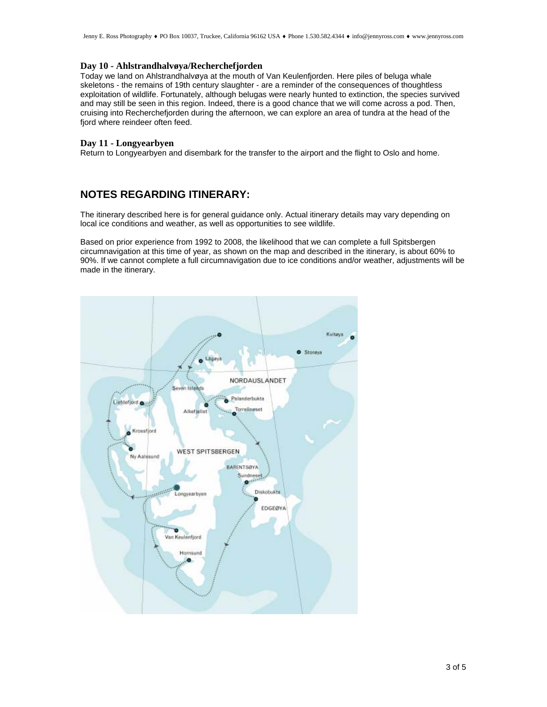### **Day 10 - Ahlstrandhalvøya/Recherchefjorden**

Today we land on Ahlstrandhalvøya at the mouth of Van Keulenfjorden. Here piles of beluga whale skeletons - the remains of 19th century slaughter - are a reminder of the consequences of thoughtless exploitation of wildlife. Fortunately, although belugas were nearly hunted to extinction, the species survived and may still be seen in this region. Indeed, there is a good chance that we will come across a pod. Then, cruising into Recherchefjorden during the afternoon, we can explore an area of tundra at the head of the fjord where reindeer often feed.

### **Day 11 - Longyearbyen**

Return to Longyearbyen and disembark for the transfer to the airport and the flight to Oslo and home.

### **NOTES REGARDING ITINERARY:**

The itinerary described here is for general guidance only. Actual itinerary details may vary depending on local ice conditions and weather, as well as opportunities to see wildlife.

Based on prior experience from 1992 to 2008, the likelihood that we can complete a full Spitsbergen circumnavigation at this time of year, as shown on the map and described in the itinerary, is about 60% to 90%. If we cannot complete a full circumnavigation due to ice conditions and/or weather, adjustments will be made in the itinerary.

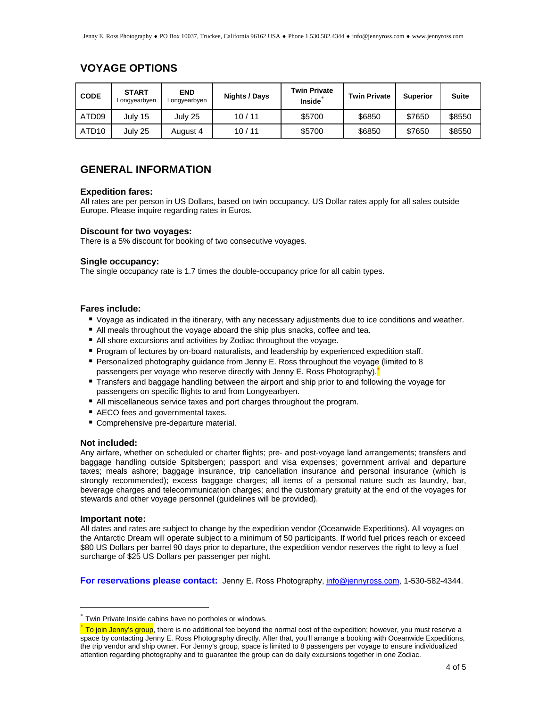### **VOYAGE OPTIONS**

| <b>CODE</b>       | <b>START</b><br>Longyearbyen | <b>END</b><br>Longyearbyen | Nights / Days | <b>Twin Private</b><br><b>Inside</b> | <b>Twin Private</b> | <b>Superior</b> | <b>Suite</b> |
|-------------------|------------------------------|----------------------------|---------------|--------------------------------------|---------------------|-----------------|--------------|
| ATD09             | July 15                      | July 25                    | 10/11         | \$5700                               | \$6850              | \$7650          | \$8550       |
| ATD <sub>10</sub> | July 25                      | August 4                   | 10/11         | \$5700                               | \$6850              | \$7650          | \$8550       |

### **GENERAL INFORMATION**

### **Expedition fares:**

All rates are per person in US Dollars, based on twin occupancy. US Dollar rates apply for all sales outside Europe. Please inquire regarding rates in Euros.

### **Discount for two voyages:**

There is a 5% discount for booking of two consecutive voyages.

### **Single occupancy:**

The single occupancy rate is 1.7 times the double-occupancy price for all cabin types.

### **Fares include:**

- Voyage as indicated in the itinerary, with any necessary adjustments due to ice conditions and weather.
- All meals throughout the voyage aboard the ship plus snacks, coffee and tea.
- All shore excursions and activities by Zodiac throughout the voyage.
- **Program of lectures by on-board naturalists, and leadership by experienced expedition staff.**
- Personalized photography guidance from Jenny E. Ross throughout the voyage (limited to 8 passengers per voyage who reserve directly with Jenny E. Ross Photography).<sup>\*</sup>
- Transfers and baggage handling between the airport and ship prior to and following the voyage for passengers on specific flights to and from Longyearbyen.
- All miscellaneous service taxes and port charges throughout the program.
- AECO fees and governmental taxes.
- Comprehensive pre-departure material.

#### **Not included:**

Any airfare, whether on scheduled or charter flights; pre- and post-voyage land arrangements; transfers and baggage handling outside Spitsbergen; passport and visa expenses; government arrival and departure taxes; meals ashore; baggage insurance, trip cancellation insurance and personal insurance (which is strongly recommended); excess baggage charges; all items of a personal nature such as laundry, bar, beverage charges and telecommunication charges; and the customary gratuity at the end of the voyages for stewards and other voyage personnel (guidelines will be provided).

#### **Important note:**

 $\overline{a}$ 

All dates and rates are subject to change by the expedition vendor (Oceanwide Expeditions). All voyages on the Antarctic Dream will operate subject to a minimum of 50 participants. If world fuel prices reach or exceed \$80 US Dollars per barrel 90 days prior to departure, the expedition vendor reserves the right to levy a fuel surcharge of \$25 US Dollars per passenger per night.

**For reservations please contact:** Jenny E. Ross Photography, info@jennyross.com, 1-530-582-4344.

Twin Private Inside cabins have no portholes or windows.

**To join Jenny's group**, there is no additional fee beyond the normal cost of the expedition; however, you must reserve a space by contacting Jenny E. Ross Photography directly. After that, you'll arrange a booking with Oceanwide Expeditions, the trip vendor and ship owner. For Jenny's group, space is limited to 8 passengers per voyage to ensure individualized attention regarding photography and to guarantee the group can do daily excursions together in one Zodiac.